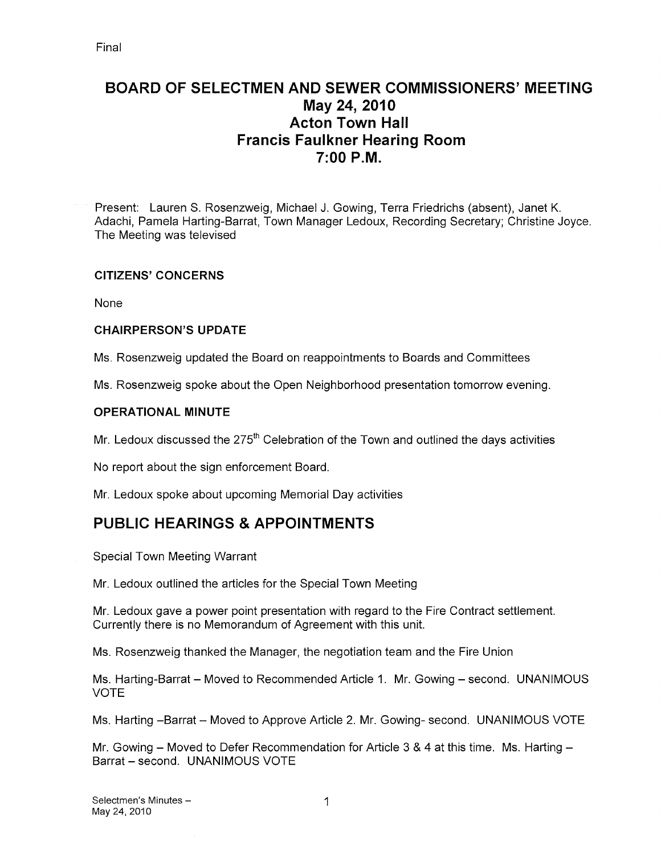# BOARD OF SELECTMEN AND SEWER COMMISSIONERS' MEETING May 24, 2010 Acton Town Hall Francis Faulkner Hearing Room 7:00 P.M.

Present: Lauren S. Rosenzweig, Michael J. Gowing, Terra Friedrichs (absent), Janet K. Adachi, Pamela Harting-Barrat, Town Manager Ledoux, Recording Secretary; Christine Joyce. The Meeting was televised

#### CITIZENS' CONCERNS

None

#### CHAIRPERSON'S UPDATE

Ms. Rosenzweig updated the Board on reappointments to Boards and Committees

Ms. Rosenzweig spoke about the Open Neighborhood presentation tomorrow evening.

#### OPERATIONAL MINUTE

Mr. Ledoux discussed the  $275<sup>th</sup>$  Celebration of the Town and outlined the days activities

No report about the sign enforcement Board.

Mr. Ledoux spoke about upcoming Memorial Day activities

# PUBLIC HEARINGS & APPOINTMENTS

Special Town Meeting Warrant

Mr. Ledoux outlined the articles for the Special Town Meeting

Mr. Ledoux gave a power point presentation with regard to the Fire Contract settlement. Currently there is no Memorandum of Agreement with this unit.

Ms. Rosenzweig thanked the Manager, the negotiation team and the Fire Union

Ms. Harting-Barrat — Moved to Recommended Article 1. Mr. Gowing — second. UNANIMOUS VOTE

Ms. Harting —Barrat — Moved to Approve Article 2. Mr. Gowing- second. UNANIMOUS VOTE

Mr. Gowing — Moved to Defer Recommendation for Article 3 & 4 at this time. Ms. Harting — Barrat — second. UNANIMOUS VOTE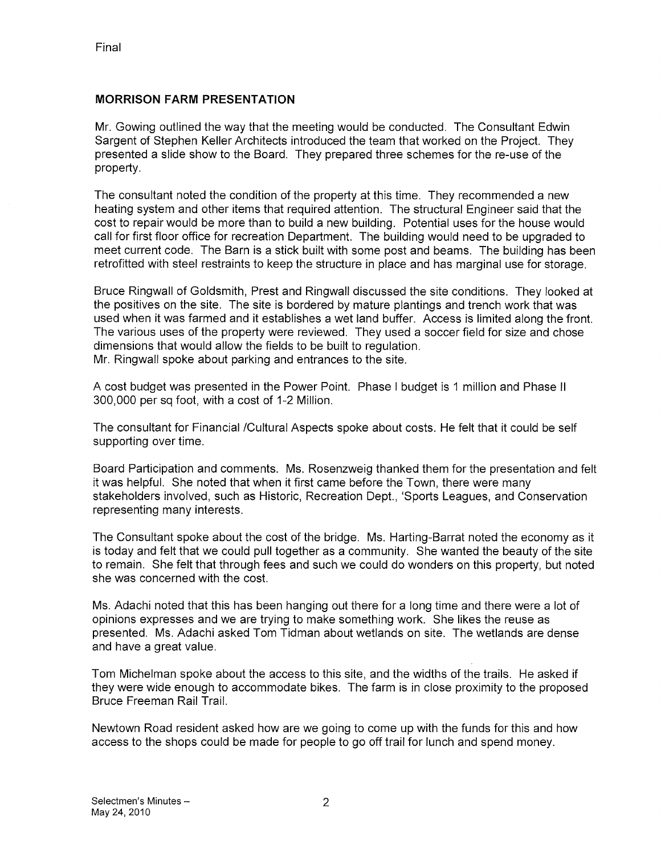#### MORRISON FARM PRESENTATION

Mr. Gowing outlined the way that the meeting would be conducted. The Consultant Edwin Sargent of Stephen Keller Architects introduced the team that worked on the Project. They presented a slide show to the Board. They prepared three schemes for the re-use of the property.

The consultant noted the condition of the property at this time. They recommended a new heating system and other items that required attention. The structural Engineer said that the cost to repair would be more than to build a new building. Potential uses for the house would call for first floor office for recreation Department. The building would need to be upgraded to meet current code. The Barn is a stick built with some post and beams. The building has been retrofitted with steel restraints to keep the structure in place and has marginal use for storage.

Bruce Ringwall of Goldsmith, Prest and Ringwall discussed the site conditions. They looked at the positives on the site. The site is bordered by mature plantings and trench work that was used when it was farmed and it establishes a wet land buffer. Access is limited along the front. The various uses of the property were reviewed. They used a soccer field for size and chose dimensions that would allow the fields to be built to regulation. Mr. Ringwall spoke about parking and entrances to the site.

A cost budget was presented in the Power Point. Phase <sup>I</sup> budget is <sup>I</sup> million and Phase II 300,000 per sq foot, with a cost of 1-2 Million.

The consultant for Financial /Cultural Aspects spoke about costs. He felt that it could be self supporting over time.

Board Participation and comments. Ms. Rosenzweig thanked them for the presentation and felt it was helpful. She noted that when it first came before the Town, there were many stakeholders involved, such as Historic, Recreation Dept., 'Sports Leagues, and Conservation representing many interests.

The Consultant spoke about the cost of the bridge. Ms. Harting-Barrat noted the economy as it is today and felt that we could pull together as a community. She wanted the beauty of the site to remain. She felt that through fees and such we could do wonders on this property, but noted she was concerned with the cost.

Ms. Adachi noted that this has been hanging out there for a long time and there were a lot of opinions expresses and we are trying to make something work. She likes the reuse as presented. Ms. Adachi asked Tom Tidman about wetlands on site. The wetlands are dense and have a great value.

Tom Michelman spoke about the access to this site, and the widths of the trails. He asked if they were wide enough to accommodate bikes, The farm is in close proximity to the proposed Bruce Freeman Rail Trail.

Newtown Road resident asked how are we going to come up with the funds for this and how access to the shops could be made for people to go off trail for lunch and spend money.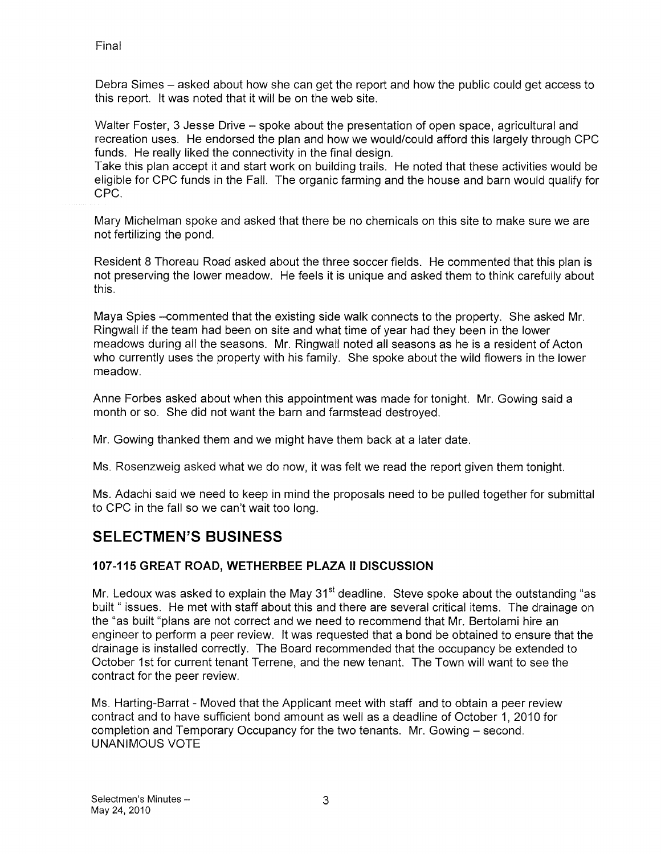Debra Simes — asked about how she can get the report and how the public could get access to this report. It was noted that it will be on the web site.

Walter Foster, 3 Jesse Drive — spoke about the presentation of open space, agricultural and recreation uses. He endorsed the plan and how we would/could afford this largely through CPC funds. He really liked the connectivity in the final design.

Take this plan accept it and start work on building trails. He noted that these activities would be eligible for CPC funds in the Fall. The organic farming and the house and barn would qualify for cPc.

Mary Michelman spoke and asked that there be no chemicals on this site to make sure we are not fertilizing the pond.

Resident 8 Thoreau Road asked about the three soccer fields. He commented that this plan is not preserving the lower meadow. He feels it is unique and asked them to think carefully about this.

Maya Spies —commented that the existing side walk connects to the property. She asked Mr. Ringwall if the team had been on site and what time of year had they been in the lower meadows during all the seasons. Mr. Ringwall noted all seasons as he is a resident of Acton who currently uses the property with his family. She spoke about the wild flowers in the lower meadow.

Anne Forbes asked about when this appointment was made for tonight. Mr. Gowing said a month or so. She did not want the barn and farmstead destroyed.

Mr. Gowing thanked them and we might have them back at a later date.

Ms. Rosenzweig asked what we do now, it was felt we read the report given them tonight.

Ms. Adachi said we need to keep in mind the proposals need to be pulled together for submittal to CPC in the fall so we can't wait too long.

# SELECTMEN'S BUSINESS

## 107-115 GREAT ROAD, WETHERBEE PLAZA II DISCUSSION

Mr. Ledoux was asked to explain the May  $31<sup>st</sup>$  deadline. Steve spoke about the outstanding "as built " issues. He met with staff about this and there are several critical items. The drainage on the "as built "plans are not correct and we need to recommend that Mr. Bertolami hire an engineer to perform a peer review. It was requested that a bond be obtained to ensure that the drainage is installed correctly. The Board recommended that the occupancy be extended to October 1st for current tenant Terrene, and the new tenant. The Town will want to see the contract for the peer review.

Ms. Harting-Barrat -Moved that the Applicant meet with staff and to obtain a peer review contract and to have sufficient bond amount as well as a deadline of October 1, 2010 for completion and Temporary Occupancy for the two tenants. Mr. Gowing — second. UNANIMOUS VOTE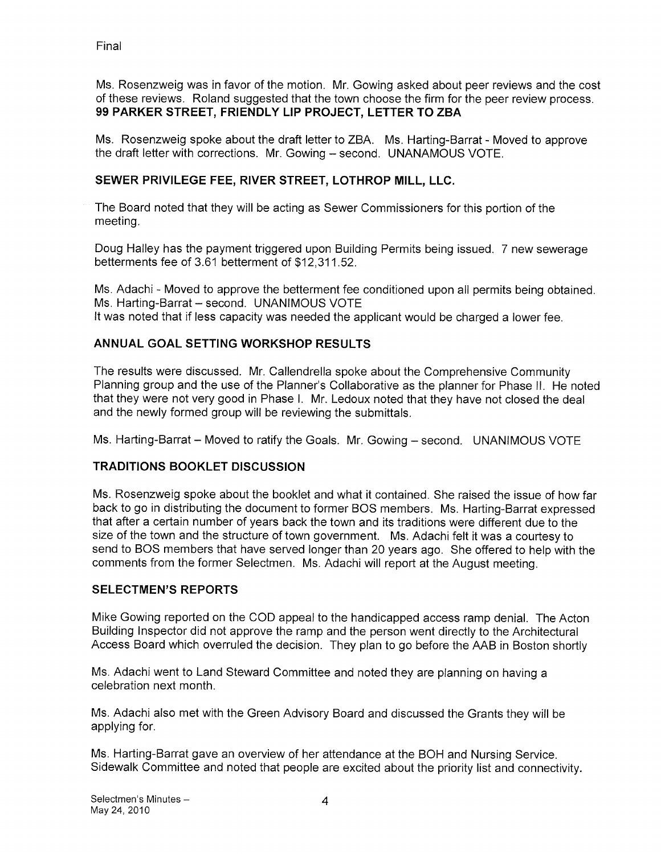Ms. Rosenzweig was in favor of the motion. Mr. Gowing asked about peer reviews and the cost of these reviews. Roland suggested that the town choose the firm for the peer review process. 99 PARKER STREET, FRIENDLY LIP PROJECT, LETTER TO ZBA

Ms. Rosenzweig spoke about the draft letter to ZBA. Ms. Harting-Barrat - Moved to approve the draft letter with corrections. Mr. Gowing — second. UNANAMOUS VOTE.

## SEWER PRIVILEGE FEE, RIVER STREET, LOTHROP MILL, LLC.

The Board noted that they will be acting as Sewer Commissioners for this portion of the meeting.

Doug Halley has the payment triggered upon Building Permits being issued. 7 new sewerage betterments fee of 3.61 betterment of \$12,311.52.

Ms. Adachi - Moved to approve the betterment fee conditioned upon all permits being obtained. Ms. Harting-Barrat — second. UNANIMOUS VOTE It was noted that if less capacity was needed the applicant would be charged a lower fee.

#### ANNUAL GOAL SETTING WORKSHOP RESULTS

The results were discussed. Mr. Callendrella spoke about the Comprehensive Community Planning group and the use of the Planner's Collaborative as the planner for Phase II. He noted that they were not very good in Phase I. Mr. Ledoux noted that they have not closed the deal and the newly formed group will be reviewing the submittals.

Ms. Harting-Barrat — Moved to ratify the Goals. Mr. Gowing — second. UNANIMOUS VOTE

#### **TRADITIONS BOOKLET DISCUSSION**

Ms. Rosenzweig spoke about the booklet and what it contained. She raised the issue of how far back to go in distributing the document to former BOS members. Ms. Harting-Barrat expressed that after a certain number of years back the town and its traditions were different due to the size of the town and the structure of town government. Ms. Adachi felt it was a courtesy to send to BOS members that have served longer than 20 years ago. She offered to help with the comments from the former Selectmen. Ms. Adachi will report at the August meeting.

#### SELECTMEN'S REPORTS

Mike Gowing reported on the COD appeal to the handicapped access ramp denial. The Acton Building Inspector did not approve the ramp and the person went directly to the Architectural Access Board which overruled the decision. They plan to go before the AAB in Boston shortly

Ms. Adachi went to Land Steward Committee and noted they are planning on having a celebration next month.

Ms. Adachi also met with the Green Advisory Board and discussed the Grants they will be applying for.

Ms. Harting-Barrat gave an overview of her attendance at the BOH and Nursing Service. Sidewalk Committee and noted that people are excited about the priority list and connectivity.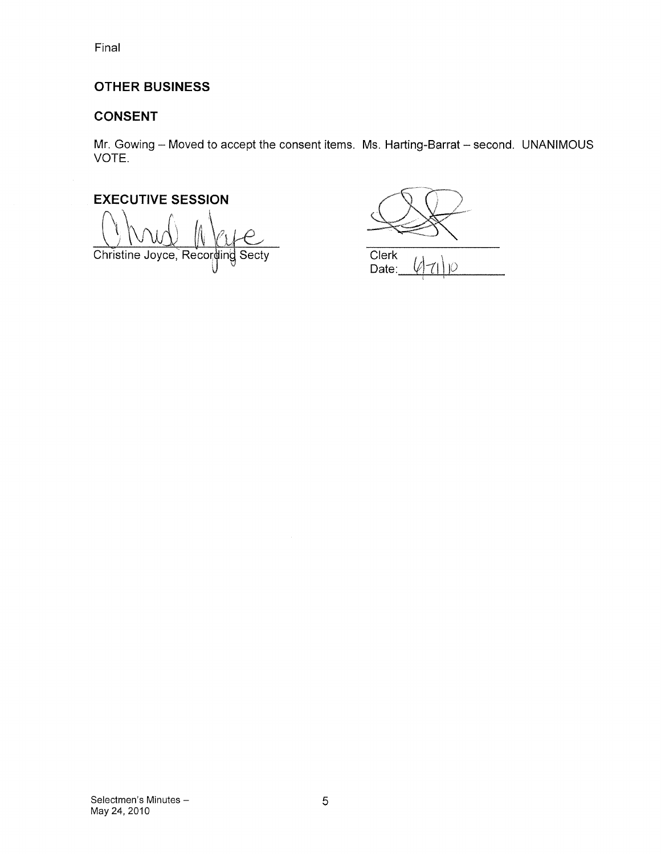# OTHER BUSINESS

# CONSENT

Mr. Gowing — Moved to accept the consent items. Ms. Harting-Barrat — second. UNANIMOUS VOTE.

EXECUTIVE SESSION Christine Joyce, Recording Secty

Clerk

Date: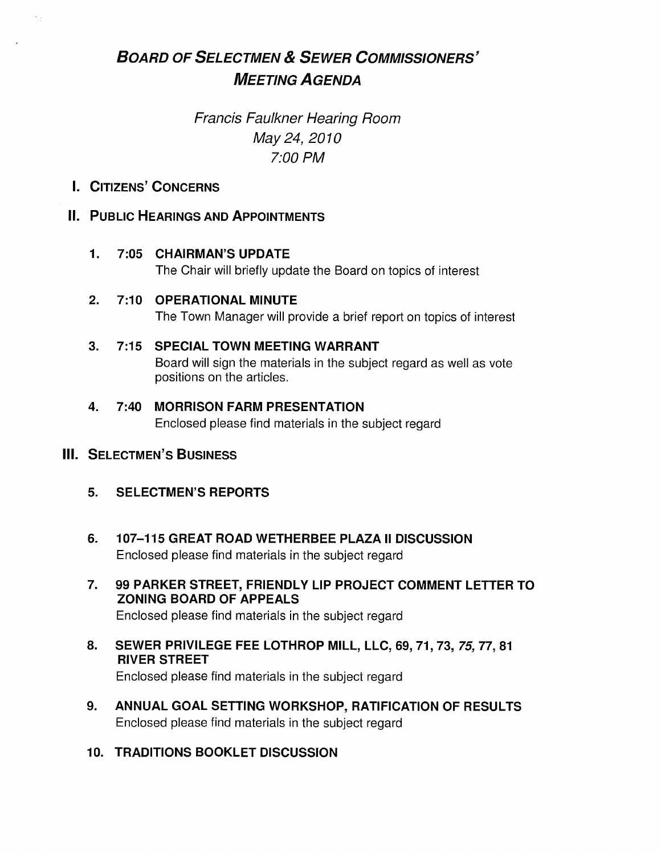# BOARD OF SELECTMEN & SEWER COMMISSIONERS' MEETING AGENDA

# Francis Faulkner Hearing Room May 24, 2070 7:00 PM

I. CITIZENS' CONCERNS

# IL PUBLIC HEARINGS AND APPOINTMENTS

# 1. 7:05 CHAIRMAN'S UPDATE

The Chair will briefly update the Board on topics of interest

# 2. 7:10 OPERATIONAL MINUTE

The Town Manager will provide a brief report on topics of interest

# 3. 7:15 SPECIAL TOWN MEETING WARRANT

Board will sign the materials in the subject regard as well as vote positions on the articles.

# 4. 7:40 MORRISON FARM PRESENTATION

Enclosed please find materials in the subject regard

# III. SELECTMEN'S BUSINESS

- 5. SELECTMEN'S REPORTS
- 6. 107—115 GREAT ROAD WETHERBEE PLAZA II DISCUSSION Enclosed please find materials in the subject regard
- 7. 99 PARKER STREET, FRIENDLY LIP PROJECT COMMENT LETTER TO ZONING BOARD OF APPEALS Enclosed please find materials in the subject regard
- 8. SEWER PRIVILEGE FEE LOTHROP MILL, LLC, 69, 71, 73, 75, 77, 81 RIVER STREET

Enclosed please find materials in the subject regard

- 9. ANNUAL GOAL SETTING WORKSHOP, RATIFICATION OF RESULTS Enclosed please find materials in the subject regard
- 10. TRADITIONS BOOKLET DISCUSSION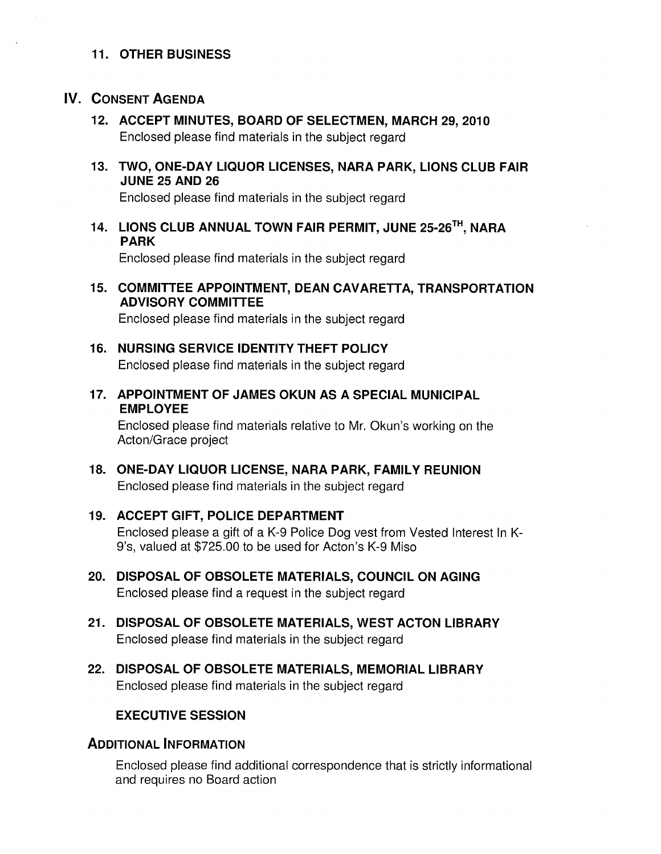#### 11. OTHER BUSINESS

# IV. CONSENT AGENDA

- 12. ACCEPT MINUTES, BOARD OF SELECTMEN, MARCH 29, 2010 Enclosed please find materials in the subject regard
- 13. TWO, ONE-DAY LIQUOR LICENSES, NARA PARK, LIONS CLUB FAIR JUNE 25 AND 26

Enclosed please find materials in the subject regard

14. LIONS CLUB ANNUAL TOWN FAIR PERMIT, JUNE 25-26TH, NARA PARK

Enclosed please find materials in the subject regard

15. COMMITTEE APPOINTMENT, DEAN CAVARETTA, TRANSPORTATION ADVISORY COMMITTEE

Enclosed please find materials in the subject regard

- 16. NURSING SERVICE IDENTITY THEFT POLICY Enclosed please find materials in the subject regard
- 17. APPOINTMENT OF JAMES OKUN AS A SPECIAL MUNICIPAL EMPLOYEE

Enclosed please find materials relative to Mr. Okun's working on the Acton/Grace project

- 18. ONE-DAY LIQUOR LICENSE, NARA PARK, FAMILY REUNION Enclosed please find materials in the subject regard
- 19. ACCEPT GIFT, POLICE DEPARTMENT Enclosed please a gift of a K-9 Police Dog vest from Vested Interest In K-9's, valued at \$725.00 to be used for Acton's K-9 Miso
- 20. DISPOSAL OF OBSOLETE MATERIALS, COUNCIL ON AGING Enclosed please find a request in the subject regard
- 21. DISPOSAL OF OBSOLETE MATERIALS, WEST ACTON LIBRARY Enclosed please find materials in the subject regard
- 22. DISPOSAL OF OBSOLETE MATERIALS, MEMORIAL LIBRARY Enclosed please find materials in the subject regard

## EXECUTIVE SESSION

## ADDITIONAL INFORMATION

Enclosed please find additional correspondence that is strictly informational and requires no Board action